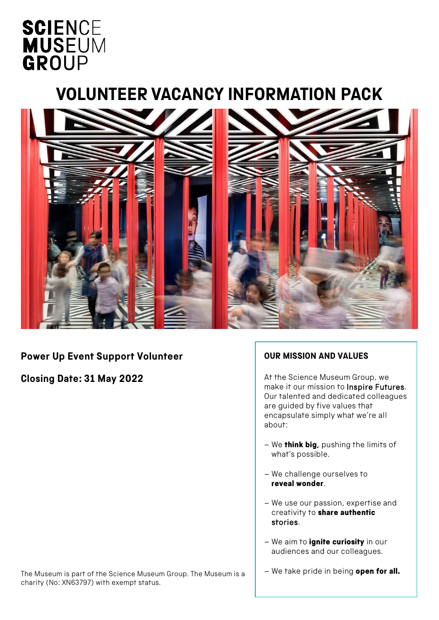# **SCIENCE MUSEUM** GROUP

## **VOLUNTEER VACANCY INFORMATION PACK**



### **Power Up Event Support Volunteer**

**Closing Date: 31 May 2022** 

#### **OUR MISSION AND VALUES**

At the Science Museum Group, we make it our mission to Inspire Futures. Our talented and dedicated colleagues are guided by five values that encapsulate simply what we're all about:

- We think big, pushing the limits of what's possible.
- We challenge ourselves to reveal wonder.
- We use our passion, expertise and creativity to **share authentic** stories.
- We aim to *ignite curiosity* in our audiences and our colleagues.
- The Museum is part of the Science Museum Group. The Museum is a charity (No: XN63797) with exempt status.
- We take pride in being open for all.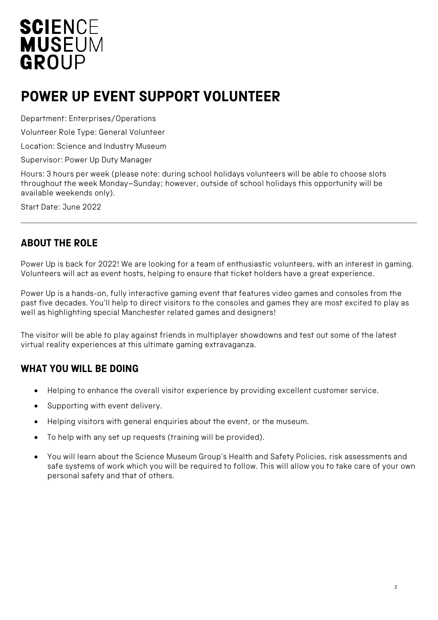# **SCIENCE MUSEUM** GROUP

## **POWER UP EVENT SUPPORT VOLUNTEER**

Department: Enterprises/Operations

Volunteer Role Type: General Volunteer

Location: Science and Industry Museum

Supervisor: Power Up Duty Manager

Hours: 3 hours per week (please note: during school holidays volunteers will be able to choose slots throughout the week Monday–Sunday; however, outside of school holidays this opportunity will be available weekends only).

Start Date: June 2022

### **ABOUT THE ROLE**

Power Up is back for 2022! We are looking for a team of enthusiastic volunteers, with an interest in gaming. Volunteers will act as event hosts, helping to ensure that ticket holders have a great experience.

Power Up is a hands-on, fully interactive gaming event that features video games and consoles from the past five decades. You'll help to direct visitors to the consoles and games they are most excited to play as well as highlighting special Manchester related games and designers!

The visitor will be able to play against friends in multiplayer showdowns and test out some of the latest virtual reality experiences at this ultimate gaming extravaganza.

### **WHAT YOU WILL BE DOING**

- Helping to enhance the overall visitor experience by providing excellent customer service.
- Supporting with event delivery.
- Helping visitors with general enquiries about the event, or the museum.
- To help with any set up requests (training will be provided).
- You will learn about the Science Museum Group's Health and Safety Policies, risk assessments and safe systems of work which you will be required to follow. This will allow you to take care of your own personal safety and that of others.